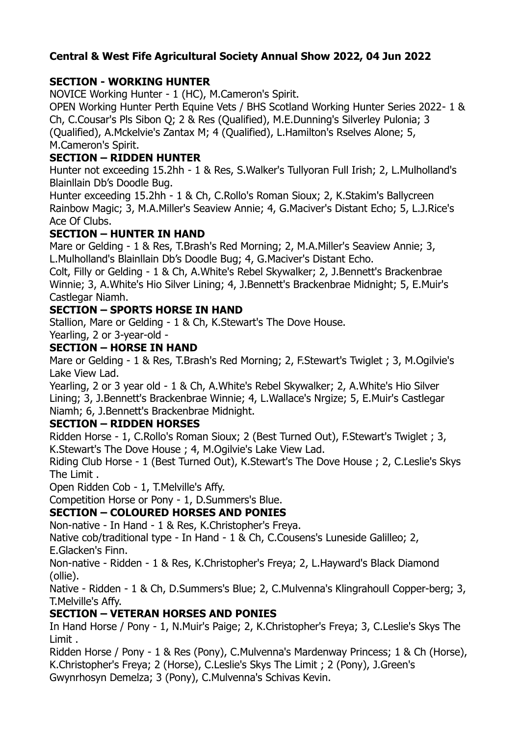### **Central & West Fife Agricultural Society Annual Show 2022, 04 Jun 2022**

### **SECTION - WORKING HUNTER**

NOVICE Working Hunter - 1 (HC), M.Cameron's Spirit.

OPEN Working Hunter Perth Equine Vets / BHS Scotland Working Hunter Series 2022- 1 & Ch, C.Cousar's Pls Sibon Q; 2 & Res (Qualified), M.E.Dunning's Silverley Pulonia; 3 (Qualified), A.Mckelvie's Zantax M; 4 (Qualified), L.Hamilton's Rselves Alone; 5, M.Cameron's Spirit.

# **SECTION – RIDDEN HUNTER**

Hunter not exceeding 15.2hh - 1 & Res, S.Walker's Tullyoran Full Irish; 2, L.Mulholland's Blainllain Db's Doodle Bug.

Hunter exceeding 15.2hh - 1 & Ch, C.Rollo's Roman Sioux; 2, K.Stakim's Ballycreen Rainbow Magic; 3, M.A.Miller's Seaview Annie; 4, G.Maciver's Distant Echo; 5, L.J.Rice's Ace Of Clubs.

### **SECTION – HUNTER IN HAND**

Mare or Gelding - 1 & Res, T.Brash's Red Morning; 2, M.A.Miller's Seaview Annie; 3, L.Mulholland's Blainllain Db's Doodle Bug; 4, G.Maciver's Distant Echo.

Colt, Filly or Gelding - 1 & Ch, A.White's Rebel Skywalker; 2, J.Bennett's Brackenbrae Winnie; 3, A.White's Hio Silver Lining; 4, J.Bennett's Brackenbrae Midnight; 5, E.Muir's Castlegar Niamh.

### **SECTION – SPORTS HORSE IN HAND**

Stallion, Mare or Gelding - 1 & Ch, K.Stewart's The Dove House.

# Yearling, 2 or 3-year-old -

#### **SECTION – HORSE IN HAND**

Mare or Gelding - 1 & Res, T.Brash's Red Morning; 2, F.Stewart's Twiglet ; 3, M.Ogilvie's Lake View Lad.

Yearling, 2 or 3 year old - 1 & Ch, A.White's Rebel Skywalker; 2, A.White's Hio Silver Lining; 3, J.Bennett's Brackenbrae Winnie; 4, L.Wallace's Nrgize; 5, E.Muir's Castlegar Niamh; 6, J.Bennett's Brackenbrae Midnight.

#### **SECTION – RIDDEN HORSES**

Ridden Horse - 1, C.Rollo's Roman Sioux; 2 (Best Turned Out), F.Stewart's Twiglet ; 3, K.Stewart's The Dove House ; 4, M.Ogilvie's Lake View Lad.

Riding Club Horse - 1 (Best Turned Out), K.Stewart's The Dove House ; 2, C.Leslie's Skys The Limit .

Open Ridden Cob - 1, T.Melville's Affy.

Competition Horse or Pony - 1, D.Summers's Blue.

# **SECTION – COLOURED HORSES AND PONIES**

Non-native - In Hand - 1 & Res, K.Christopher's Freya.

Native cob/traditional type - In Hand - 1 & Ch, C.Cousens's Luneside Galilleo; 2, E.Glacken's Finn.

Non-native - Ridden - 1 & Res, K.Christopher's Freya; 2, L.Hayward's Black Diamond (ollie).

Native - Ridden - 1 & Ch, D.Summers's Blue; 2, C.Mulvenna's Klingrahoull Copper-berg; 3, T.Melville's Affy.

#### **SECTION – VETERAN HORSES AND PONIES**

In Hand Horse / Pony - 1, N.Muir's Paige; 2, K.Christopher's Freya; 3, C.Leslie's Skys The Limit .

Ridden Horse / Pony - 1 & Res (Pony), C.Mulvenna's Mardenway Princess; 1 & Ch (Horse), K.Christopher's Freya; 2 (Horse), C.Leslie's Skys The Limit ; 2 (Pony), J.Green's Gwynrhosyn Demelza; 3 (Pony), C.Mulvenna's Schivas Kevin.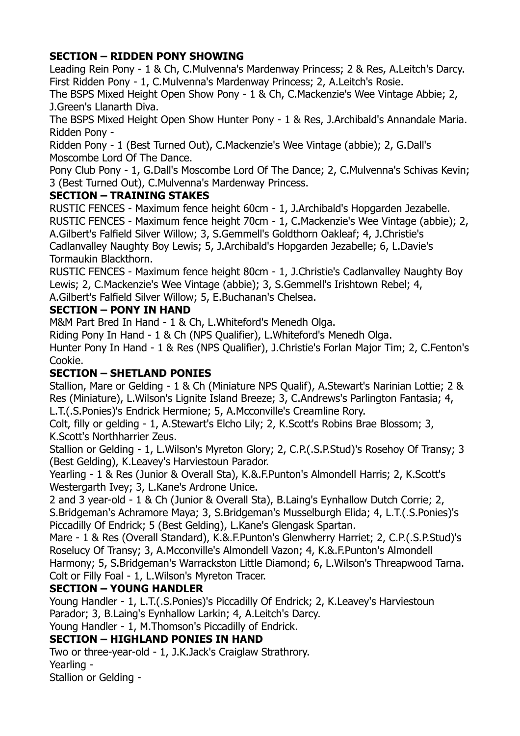# **SECTION – RIDDEN PONY SHOWING**

Leading Rein Pony - 1 & Ch, C.Mulvenna's Mardenway Princess; 2 & Res, A.Leitch's Darcy. First Ridden Pony - 1, C.Mulvenna's Mardenway Princess; 2, A.Leitch's Rosie.

The BSPS Mixed Height Open Show Pony - 1 & Ch, C.Mackenzie's Wee Vintage Abbie; 2, J.Green's Llanarth Diva.

The BSPS Mixed Height Open Show Hunter Pony - 1 & Res, J.Archibald's Annandale Maria. Ridden Pony -

Ridden Pony - 1 (Best Turned Out), C.Mackenzie's Wee Vintage (abbie); 2, G.Dall's Moscombe Lord Of The Dance.

Pony Club Pony - 1, G.Dall's Moscombe Lord Of The Dance; 2, C.Mulvenna's Schivas Kevin; 3 (Best Turned Out), C.Mulvenna's Mardenway Princess.

# **SECTION – TRAINING STAKES**

RUSTIC FENCES - Maximum fence height 60cm - 1, J.Archibald's Hopgarden Jezabelle. RUSTIC FENCES - Maximum fence height 70cm - 1, C.Mackenzie's Wee Vintage (abbie); 2, A.Gilbert's Falfield Silver Willow; 3, S.Gemmell's Goldthorn Oakleaf; 4, J.Christie's Cadlanvalley Naughty Boy Lewis; 5, J.Archibald's Hopgarden Jezabelle; 6, L.Davie's Tormaukin Blackthorn.

RUSTIC FENCES - Maximum fence height 80cm - 1, J.Christie's Cadlanvalley Naughty Boy Lewis; 2, C.Mackenzie's Wee Vintage (abbie); 3, S.Gemmell's Irishtown Rebel; 4, A.Gilbert's Falfield Silver Willow; 5, E.Buchanan's Chelsea.

### **SECTION – PONY IN HAND**

M&M Part Bred In Hand - 1 & Ch, L.Whiteford's Menedh Olga.

Riding Pony In Hand - 1 & Ch (NPS Qualifier), L.Whiteford's Menedh Olga. Hunter Pony In Hand - 1 & Res (NPS Qualifier), J.Christie's Forlan Major Tim; 2, C.Fenton's Cookie.

# **SECTION – SHETLAND PONIES**

Stallion, Mare or Gelding - 1 & Ch (Miniature NPS Qualif), A.Stewart's Narinian Lottie; 2 & Res (Miniature), L.Wilson's Lignite Island Breeze; 3, C.Andrews's Parlington Fantasia; 4, L.T.(.S.Ponies)'s Endrick Hermione; 5, A.Mcconville's Creamline Rory.

Colt, filly or gelding - 1, A.Stewart's Elcho Lily; 2, K.Scott's Robins Brae Blossom; 3, K.Scott's Northharrier Zeus.

Stallion or Gelding - 1, L.Wilson's Myreton Glory; 2, C.P.(.S.P.Stud)'s Rosehoy Of Transy; 3 (Best Gelding), K.Leavey's Harviestoun Parador.

Yearling - 1 & Res (Junior & Overall Sta), K.&.F.Punton's Almondell Harris; 2, K.Scott's Westergarth Ivey; 3, L.Kane's Ardrone Unice.

2 and 3 year-old - 1 & Ch (Junior & Overall Sta), B.Laing's Eynhallow Dutch Corrie; 2, S.Bridgeman's Achramore Maya; 3, S.Bridgeman's Musselburgh Elida; 4, L.T.(.S.Ponies)'s Piccadilly Of Endrick; 5 (Best Gelding), L.Kane's Glengask Spartan.

Mare - 1 & Res (Overall Standard), K.&.F.Punton's Glenwherry Harriet; 2, C.P.(.S.P.Stud)'s Roselucy Of Transy; 3, A.Mcconville's Almondell Vazon; 4, K.&.F.Punton's Almondell Harmony; 5, S.Bridgeman's Warrackston Little Diamond; 6, L.Wilson's Threapwood Tarna. Colt or Filly Foal - 1, L.Wilson's Myreton Tracer.

# **SECTION – YOUNG HANDLER**

Young Handler - 1, L.T.(.S.Ponies)'s Piccadilly Of Endrick; 2, K.Leavey's Harviestoun Parador; 3, B.Laing's Eynhallow Larkin; 4, A.Leitch's Darcy.

Young Handler - 1, M.Thomson's Piccadilly of Endrick.

# **SECTION – HIGHLAND PONIES IN HAND**

Two or three-year-old - 1, J.K.Jack's Craiglaw Strathrory.

Yearling -

Stallion or Gelding -